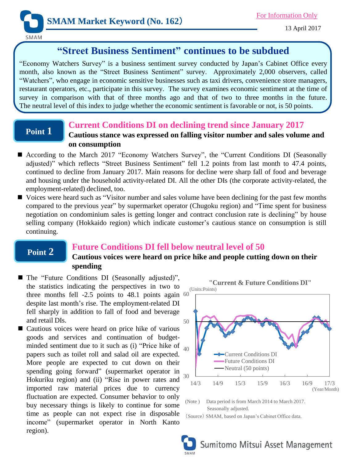

SMAM

# **"Street Business Sentiment" continues to be subdued**

"Economy Watchers Survey" is a business sentiment survey conducted by Japan's Cabinet Office every month, also known as the "Street Business Sentiment" survey. Approximately 2,000 observers, called "Watchers", who engage in economic sensitive businesses such as taxi drivers, convenience store managers, restaurant operators, etc., participate in this survey. The survey examines economic sentiment at the time of survey in comparison with that of three months ago and that of two to three months in the future. The neutral level of this index to judge whether the economic sentiment is favorable or not, is 50 points.

### **Point 1**

## **Current Conditions DI on declining trend since January 2017**

## **Cautious stance was expressed on falling visitor number and sales volume and on consumption**

- According to the March 2017 "Economy Watchers Survey", the "Current Conditions DI (Seasonally adjusted)" which reflects "Street Business Sentiment" fell 1.2 points from last month to 47.4 points, continued to decline from January 2017. Main reasons for decline were sharp fall of food and beverage and housing under the household activity-related DI. All the other DIs (the corporate activity-related, the employment-related) declined, too.
- Voices were heard such as "Visitor number and sales volume have been declining for the past few months compared to the previous year" by supermarket operator (Chugoku region) and "Time spent for business negotiation on condominium sales is getting longer and contract conclusion rate is declining" by house selling company (Hokkaido region) which indicate customer's cautious stance on consumption is still continuing.

## **Point 2**

## **Future Conditions DI fell below neutral level of 50**

**Cautious voices were heard on price hike and people cutting down on their spending**

- three months fell  $-2.5$  points to  $48.1$  points again  $60$ ■ The "Future Conditions DI (Seasonally adjusted)", the statistics indicating the perspectives in two to despite last month's rise. The employment-related DI fell sharply in addition to fall of food and beverage and retail DIs.
- minded sentiment due to it such as (i) "Price hike of  $_{40}$ ■ Cautious voices were heard on price hike of various goods and services and continuation of budgetpapers such as toilet roll and salad oil are expected. More people are expected to cut down on their spending going forward" (supermarket operator in Hokuriku region) and (ii) "Rise in power rates and imported raw material prices due to currency fluctuation are expected. Consumer behavior to only buy necessary things is likely to continue for some time as people can not expect rise in disposable income" (supermarket operator in North Kanto region).



**"Current & Future Conditions DI"**

(Note ) Data period is from March 2014 to March 2017. Seasonally adjusted.

(Source) SMAM, based on Japan's Cabinet Office data.

Sumitomo Mitsui Asset Management